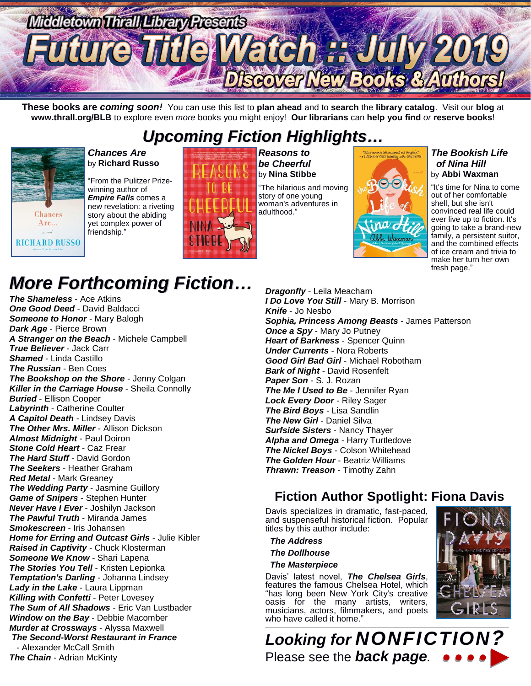

**These books are** *coming soon!* You can use this list to **plan ahead** and to **search** the **library catalog**. Visit our **blog** at **www.thrall.org/BLB** to explore even *more* books you might enjoy! **Our librarians** can **help you find** *or* **reserve books**!

## *Upcoming Fiction Highlights…*



#### *Chances Are* by **Richard Russo**

"From the Pulitzer Prizewinning author of *Empire Falls* comes a new revelation: a riveting story about the abiding yet complex power of friendship."



*Reasons to be Cheerful* by **Nina Stibbe**

"The hilarious and moving story of one young woman's adventures in adulthood."



#### *The Bookish Life of Nina Hill* by **Abbi Waxman**

"It's time for Nina to come out of her comfortable shell, but she isn't convinced real life could ever live up to fiction. It's going to take a brand-new family, a persistent suitor. and the combined effects of ice cream and trivia to make her turn her own fresh page."

# *More Forthcoming Fiction…*

*The Shameless* - Ace Atkins *One Good Deed* - David Baldacci *Someone to Honor* - Mary Balogh *Dark Age* - Pierce Brown *A Stranger on the Beach* - Michele Campbell *True Believer* - Jack Carr *Shamed* - Linda Castillo *The Russian* - Ben Coes *The Bookshop on the Shore* - Jenny Colgan *Killer in the Carriage House* - Sheila Connolly *Buried* - Ellison Cooper *Labyrinth* - Catherine Coulter *A Capitol Death* - Lindsey Davis *The Other Mrs. Miller* - Allison Dickson *Almost Midnight* - Paul Doiron *Stone Cold Heart* - Caz Frear *The Hard Stuff* - David Gordon *The Seekers* - Heather Graham *Red Metal* - Mark Greaney *The Wedding Party* - Jasmine Guillory *Game of Snipers* - Stephen Hunter *Never Have I Ever* - Joshilyn Jackson *The Pawful Truth* - Miranda James *Smokescreen* - Iris Johansen *Home for Erring and Outcast Girls* - Julie Kibler *Raised in Captivity* - Chuck Klosterman *Someone We Know* - Shari Lapena *The Stories You Tell* - Kristen Lepionka *Temptation's Darling* - Johanna Lindsey *Lady in the Lake* - Laura Lippman *Killing with Confetti* - Peter Lovesey *The Sum of All Shadows* - Eric Van Lustbader *Window on the Bay* - Debbie Macomber *Murder at Crossways* - Alyssa Maxwell *The Second-Worst Restaurant in France* - Alexander McCall Smith *The Chain* - Adrian McKinty

*Dragonfly* - Leila Meacham *I Do Love You Still* - Mary B. Morrison *Knife* - Jo Nesbo *Sophia, Princess Among Beasts* - James Patterson *Once a Spy* - Mary Jo Putney *Heart of Barkness* - Spencer Quinn *Under Currents* - Nora Roberts *Good Girl Bad Girl* - Michael Robotham *Bark of Night* - David Rosenfelt *Paper Son* - S. J. Rozan *The Me I Used to Be - Jennifer Ryan Lock Every Door* - Riley Sager *The Bird Boys* - Lisa Sandlin *The New Girl* - Daniel Silva *Surfside Sisters* - Nancy Thayer *Alpha and Omega* - Harry Turtledove *The Nickel Boys* - Colson Whitehead *The Golden Hour* - Beatriz Williams *Thrawn: Treason* - Timothy Zahn

## **Fiction Author Spotlight: Fiona Davis**

Davis specializes in dramatic, fast-paced, and suspenseful historical fiction. Popular titles by this author include:

*The Address*

 *The Dollhouse*

#### *The Masterpiece*

Davis' latest novel, *The Chelsea Girls*, features the famous Chelsea Hotel, which "has long been New York City's creative oasis for the many artists, writers, musicians, actors, filmmakers, and poets who have called it home." \_\_\_\_\_\_\_\_\_\_\_\_\_\_\_\_\_\_\_\_\_\_\_\_\_\_\_\_\_\_\_\_\_\_\_\_\_\_\_\_\_\_\_\_\_\_\_\_\_\_\_\_\_\_\_\_\_\_\_\_\_\_\_\_\_\_\_\_\_\_\_\_\_\_\_\_\_\_\_\_\_\_\_\_\_\_\_\_\_\_\_\_\_\_\_\_\_\_\_\_\_



*Looking for NONFICTION?* Please see the *back page.*